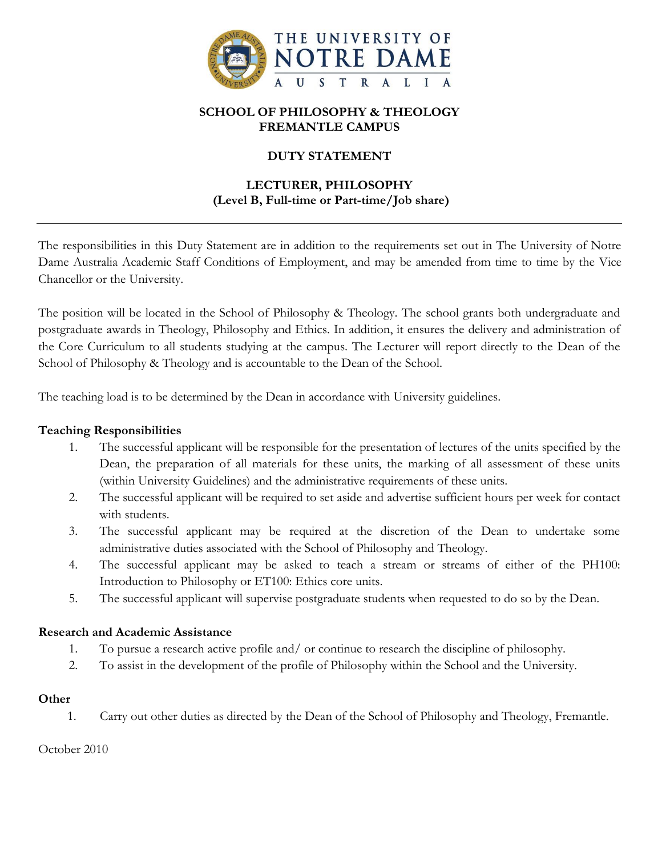

## **SCHOOL OF PHILOSOPHY & THEOLOGY FREMANTLE CAMPUS**

# **DUTY STATEMENT**

# **LECTURER, PHILOSOPHY (Level B, Full-time or Part-time/Job share)**

The responsibilities in this Duty Statement are in addition to the requirements set out in The University of Notre Dame Australia Academic Staff Conditions of Employment, and may be amended from time to time by the Vice Chancellor or the University.

The position will be located in the School of Philosophy & Theology. The school grants both undergraduate and postgraduate awards in Theology, Philosophy and Ethics. In addition, it ensures the delivery and administration of the Core Curriculum to all students studying at the campus. The Lecturer will report directly to the Dean of the School of Philosophy & Theology and is accountable to the Dean of the School.

The teaching load is to be determined by the Dean in accordance with University guidelines.

#### **Teaching Responsibilities**

- 1. The successful applicant will be responsible for the presentation of lectures of the units specified by the Dean, the preparation of all materials for these units, the marking of all assessment of these units (within University Guidelines) and the administrative requirements of these units.
- 2. The successful applicant will be required to set aside and advertise sufficient hours per week for contact with students.
- 3. The successful applicant may be required at the discretion of the Dean to undertake some administrative duties associated with the School of Philosophy and Theology.
- 4. The successful applicant may be asked to teach a stream or streams of either of the PH100: Introduction to Philosophy or ET100: Ethics core units.
- 5. The successful applicant will supervise postgraduate students when requested to do so by the Dean.

#### **Research and Academic Assistance**

- 1. To pursue a research active profile and/ or continue to research the discipline of philosophy.
- 2. To assist in the development of the profile of Philosophy within the School and the University.

#### **Other**

1. Carry out other duties as directed by the Dean of the School of Philosophy and Theology, Fremantle.

October 2010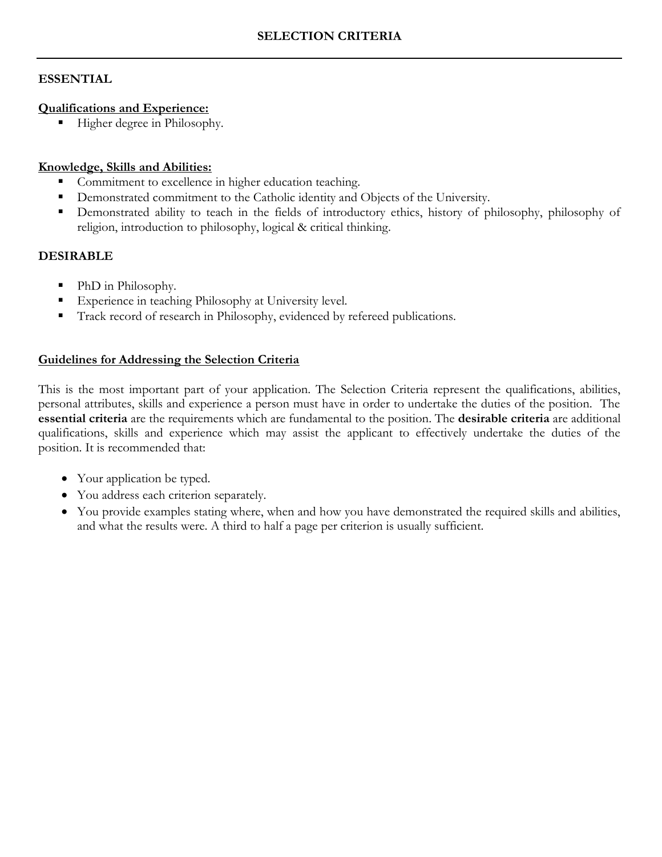## **ESSENTIAL**

#### **Qualifications and Experience:**

Higher degree in Philosophy.

## **Knowledge, Skills and Abilities:**

- **Commitment to excellence in higher education teaching.**
- Demonstrated commitment to the Catholic identity and Objects of the University.
- Demonstrated ability to teach in the fields of introductory ethics, history of philosophy, philosophy of religion, introduction to philosophy, logical & critical thinking.

## **DESIRABLE**

- PhD in Philosophy.
- Experience in teaching Philosophy at University level.
- Track record of research in Philosophy, evidenced by refereed publications.

## **Guidelines for Addressing the Selection Criteria**

This is the most important part of your application. The Selection Criteria represent the qualifications, abilities, personal attributes, skills and experience a person must have in order to undertake the duties of the position. The **essential criteria** are the requirements which are fundamental to the position. The **desirable criteria** are additional qualifications, skills and experience which may assist the applicant to effectively undertake the duties of the position. It is recommended that:

- Your application be typed.
- You address each criterion separately.
- You provide examples stating where, when and how you have demonstrated the required skills and abilities, and what the results were. A third to half a page per criterion is usually sufficient.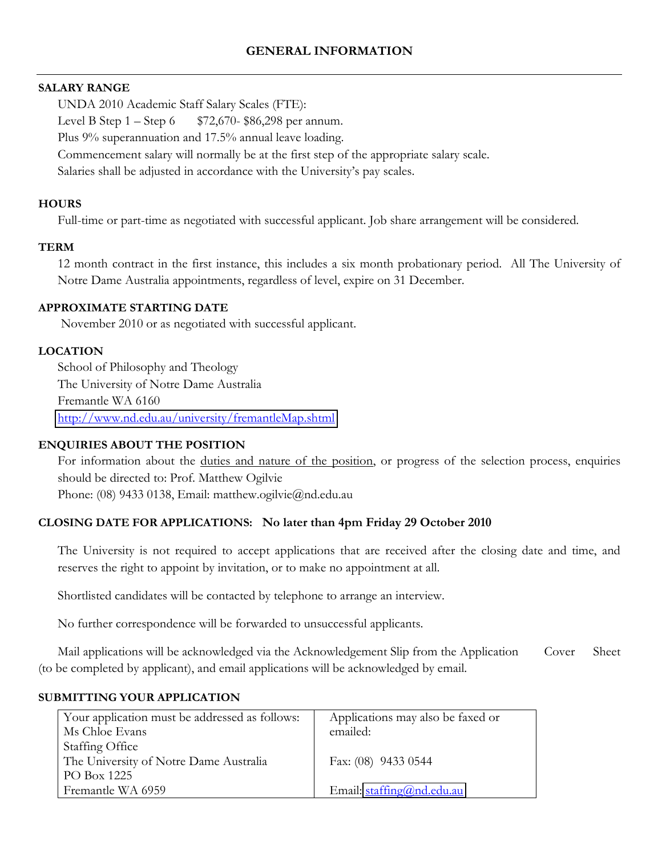#### **SALARY RANGE**

UNDA 2010 Academic Staff Salary Scales (FTE):

Level B Step  $1 -$ Step  $6$  \$72,670-\$86,298 per annum.

Plus 9% superannuation and 17.5% annual leave loading.

Commencement salary will normally be at the first step of the appropriate salary scale.

Salaries shall be adjusted in accordance with the University's pay scales.

# **HOURS**

Full-time or part-time as negotiated with successful applicant. Job share arrangement will be considered.

# **TERM**

12 month contract in the first instance, this includes a six month probationary period. All The University of Notre Dame Australia appointments, regardless of level, expire on 31 December.

## **APPROXIMATE STARTING DATE**

November 2010 or as negotiated with successful applicant.

# **LOCATION**

School of Philosophy and Theology The University of Notre Dame Australia Fremantle WA 6160 <http://www.nd.edu.au/university/fremantleMap.shtml>

# **ENQUIRIES ABOUT THE POSITION**

For information about the duties and nature of the position, or progress of the selection process, enquiries should be directed to: Prof. Matthew Ogilvie

Phone: (08) 9433 0138, Email: matthew.ogilvie@nd.edu.au

# **CLOSING DATE FOR APPLICATIONS: No later than 4pm Friday 29 October 2010**

The University is not required to accept applications that are received after the closing date and time, and reserves the right to appoint by invitation, or to make no appointment at all.

Shortlisted candidates will be contacted by telephone to arrange an interview.

No further correspondence will be forwarded to unsuccessful applicants.

Mail applications will be acknowledged via the Acknowledgement Slip from the Application Cover Sheet (to be completed by applicant), and email applications will be acknowledged by email.

# **SUBMITTING YOUR APPLICATION**

| Your application must be addressed as follows: | Applications may also be faxed or     |  |  |
|------------------------------------------------|---------------------------------------|--|--|
| Ms Chloe Evans                                 | emailed:                              |  |  |
| Staffing Office                                |                                       |  |  |
| The University of Notre Dame Australia         | Fax: (08) 9433 0544                   |  |  |
| PO Box 1225                                    |                                       |  |  |
| Fremantle WA 6959                              | Email: $\text{staffing}(a)$ nd.edu.au |  |  |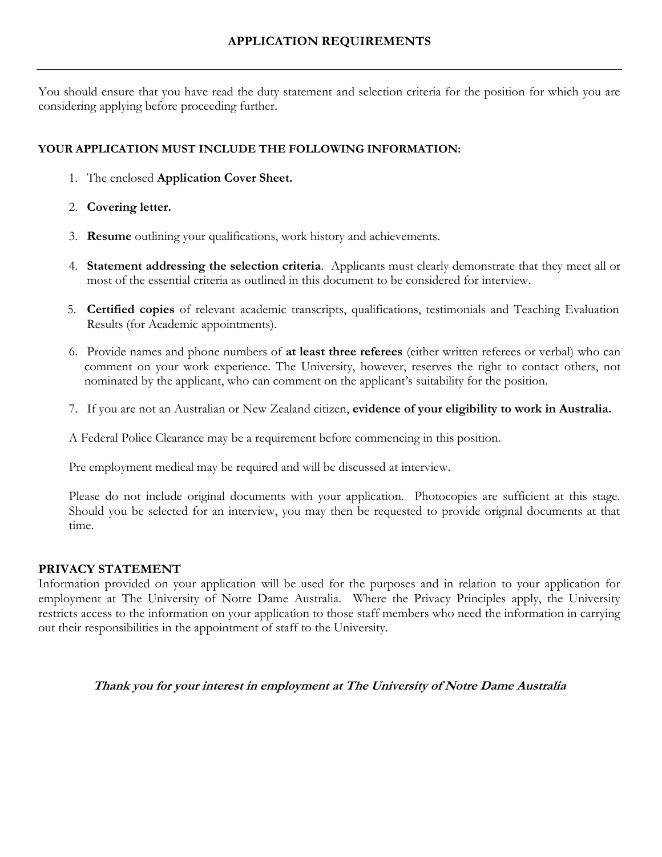You should ensure that you have read the duty statement and selection criteria for the position for which you are considering applying before proceeding further.

## **YOUR APPLICATION MUST INCLUDE THE FOLLOWING INFORMATION:**

- 1. The enclosed **Application Cover Sheet.**
- 2. **Covering letter.**
- 3. **Resume** outlining your qualifications, work history and achievements.
- 4. **Statement addressing the selection criteria**. Applicants must clearly demonstrate that they meet all or most of the essential criteria as outlined in this document to be considered for interview.
- 5. **Certified copies** of relevant academic transcripts, qualifications, testimonials and Teaching Evaluation Results (for Academic appointments).
- 6. Provide names and phone numbers of **at least three referees** (either written referees or verbal) who can comment on your work experience. The University, however, reserves the right to contact others, not nominated by the applicant, who can comment on the applicant's suitability for the position.
- 7. If you are not an Australian or New Zealand citizen, **evidence of your eligibility to work in Australia.**

A Federal Police Clearance may be a requirement before commencing in this position.

Pre employment medical may be required and will be discussed at interview.

Please do not include original documents with your application. Photocopies are sufficient at this stage. Should you be selected for an interview, you may then be requested to provide original documents at that time.

#### **PRIVACY STATEMENT**

Information provided on your application will be used for the purposes and in relation to your application for employment at The University of Notre Dame Australia. Where the Privacy Principles apply, the University restricts access to the information on your application to those staff members who need the information in carrying out their responsibilities in the appointment of staff to the University.

#### **Thank you for your interest in employment at The University of Notre Dame Australia**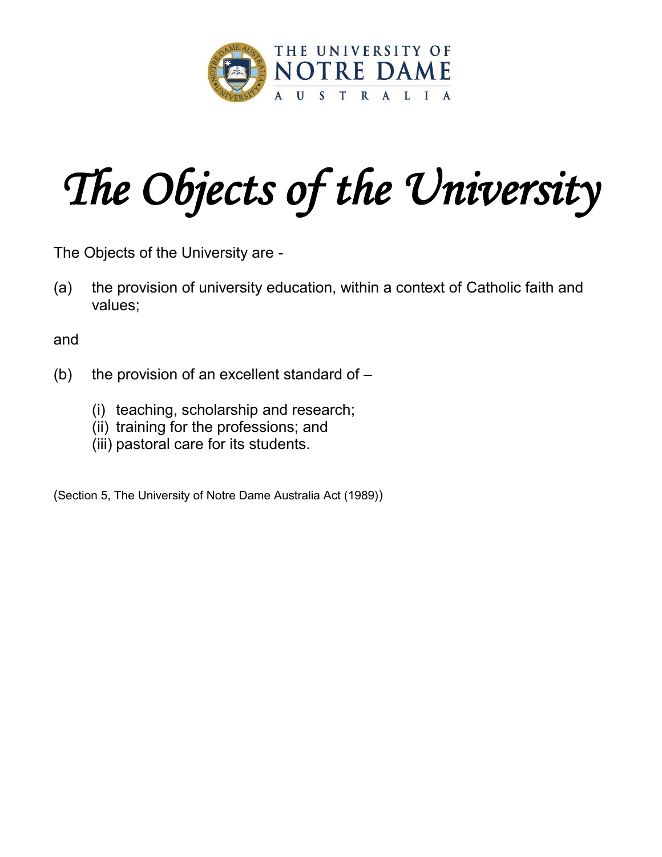

# The Objects of the University

The Objects of the University are -

(a) the provision of university education, within a context of Catholic faith and values;

and

- (b) the provision of an excellent standard of  $-$ 
	- (i) teaching, scholarship and research;
	- (ii) training for the professions; and
	- (iii) pastoral care for its students.

(Section 5, The University of Notre Dame Australia Act (1989))